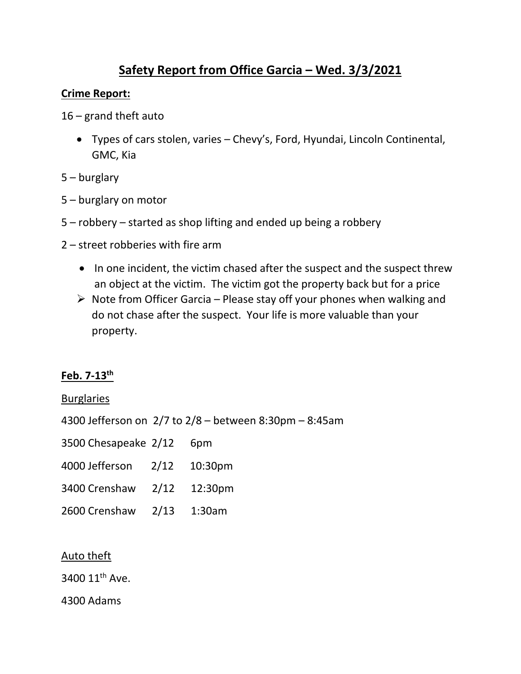# **Safety Report from Office Garcia – Wed. 3/3/2021**

#### **Crime Report:**

- 16 grand theft auto
	- Types of cars stolen, varies Chevy's, Ford, Hyundai, Lincoln Continental, GMC, Kia
- 5 burglary
- 5 burglary on motor
- 5 robbery started as shop lifting and ended up being a robbery
- 2 street robberies with fire arm
	- In one incident, the victim chased after the suspect and the suspect threw an object at the victim. The victim got the property back but for a price
	- $\triangleright$  Note from Officer Garcia Please stay off your phones when walking and do not chase after the suspect. Your life is more valuable than your property.

## **Feb. 7-13th**

#### Burglaries

4300 Jefferson on 2/7 to 2/8 – between 8:30pm – 8:45am

| 3500 Chesapeake 2/12 |  | 6pm |
|----------------------|--|-----|
|----------------------|--|-----|

| 4000 Jefferson | 2/12 | 10:30pm |
|----------------|------|---------|
|----------------|------|---------|

- 3400 Crenshaw 2/12 12:30pm
- 2600 Crenshaw 2/13 1:30am

#### Auto theft

3400 11<sup>th</sup> Ave.

4300 Adams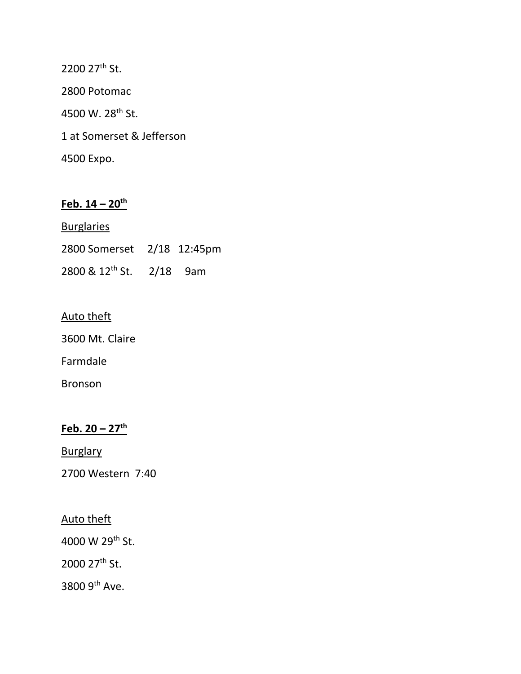2200 27<sup>th</sup> St. 2800 Potomac 4500 W. 28<sup>th</sup> St. 1 at Somerset & Jefferson 4500 Expo.

# **Feb. 14 – 20th**

| <b>Burglaries</b>                    |  |
|--------------------------------------|--|
| 2800 Somerset 2/18 12:45pm           |  |
| 2800 & 12 <sup>th</sup> St. 2/18 9am |  |

#### Auto theft

3600 Mt. Claire

Farmdale

Bronson

# **Feb. 20 – 27th**

**Burglary** 

2700 Western 7:40

## Auto theft

4000 W 29th St.

2000 27<sup>th</sup> St.

3800 9th Ave.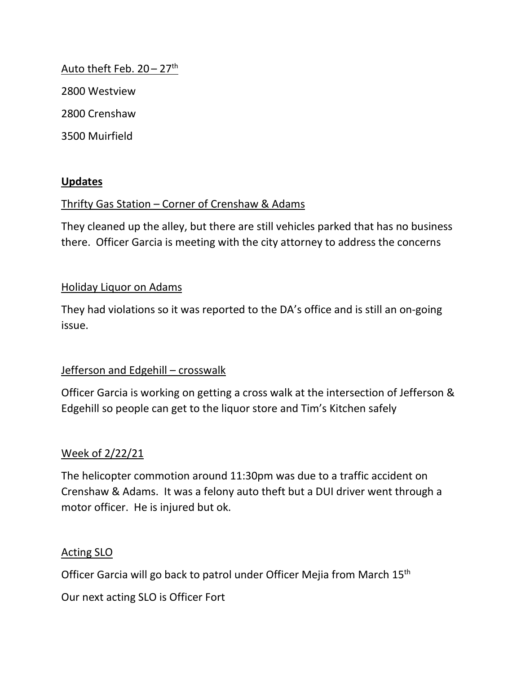## Auto theft Feb.  $20 - 27$ <sup>th</sup>

2800 Westview

2800 Crenshaw

3500 Muirfield

## **Updates**

## Thrifty Gas Station – Corner of Crenshaw & Adams

They cleaned up the alley, but there are still vehicles parked that has no business there. Officer Garcia is meeting with the city attorney to address the concerns

## Holiday Liquor on Adams

They had violations so it was reported to the DA's office and is still an on-going issue.

## Jefferson and Edgehill – crosswalk

Officer Garcia is working on getting a cross walk at the intersection of Jefferson & Edgehill so people can get to the liquor store and Tim's Kitchen safely

## Week of 2/22/21

The helicopter commotion around 11:30pm was due to a traffic accident on Crenshaw & Adams. It was a felony auto theft but a DUI driver went through a motor officer. He is injured but ok.

## Acting SLO

Officer Garcia will go back to patrol under Officer Mejia from March 15<sup>th</sup>

Our next acting SLO is Officer Fort